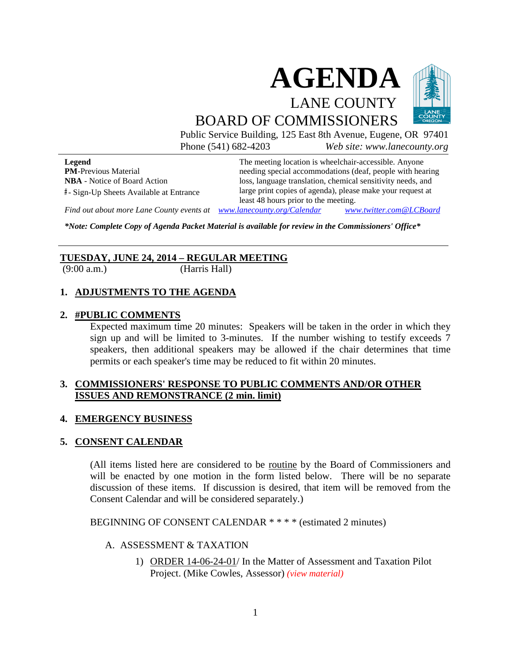

Public Service Building, 125 East 8th Avenue, Eugene, OR 97401 Phone (541) 682-4203 *Web site: www.lanecounty.org*

**Legend PM**-Previous Material **NBA** - Notice of Board Action **#** - Sign-Up Sheets Available at Entrance The meeting location is wheelchair-accessible. Anyone needing special accommodations (deaf, people with hearing loss, language translation, chemical sensitivity needs, and large print copies of agenda), please make your request at least 48 hours prior to the meeting.

*Find out about more Lane County events at [www.lanecounty.org/Calendar](http://www.lanecounty.org/Calendar) [www.twitter.com@LCBoard](http://www.twitter.com@lcboard/)*

*\*Note: Complete Copy of Agenda Packet Material is available for review in the Commissioners' Office\**

# **TUESDAY, JUNE 24, 2014 – REGULAR MEETING**

(9:00 a.m.) (Harris Hall)

# **1. ADJUSTMENTS TO THE AGENDA**

#### **2. #PUBLIC COMMENTS**

Expected maximum time 20 minutes: Speakers will be taken in the order in which they sign up and will be limited to 3-minutes. If the number wishing to testify exceeds 7 speakers, then additional speakers may be allowed if the chair determines that time permits or each speaker's time may be reduced to fit within 20 minutes.

### **3. COMMISSIONERS' RESPONSE TO PUBLIC COMMENTS AND/OR OTHER ISSUES AND REMONSTRANCE (2 min. limit)**

### **4. EMERGENCY BUSINESS**

### **5. CONSENT CALENDAR**

(All items listed here are considered to be routine by the Board of Commissioners and will be enacted by one motion in the form listed below. There will be no separate discussion of these items. If discussion is desired, that item will be removed from the Consent Calendar and will be considered separately.)

BEGINNING OF CONSENT CALENDAR \* \* \* \* (estimated 2 minutes)

### A. ASSESSMENT & TAXATION

1) ORDER 14-06-24-01/ In the Matter of Assessment and Taxation Pilot Project. (Mike Cowles, Assessor) *[\(view material\)](http://www.lanecounty.org/UserFiles/Servers/Server_3585797/File/Government/BCC/2014/2014_AGENDAS/062414agenda/T.5.A.1.pdf)*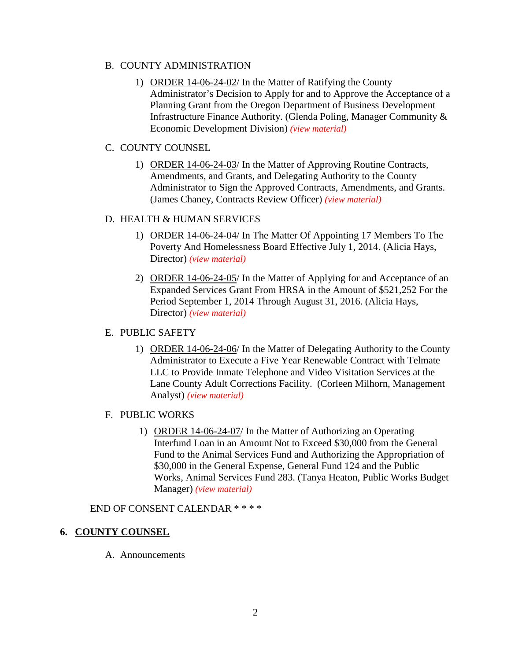# B. COUNTY ADMINISTRATION

1) ORDER 14-06-24-02/ In the Matter of Ratifying the County Administrator's Decision to Apply for and to Approve the Acceptance of a Planning Grant from the Oregon Department of Business Development Infrastructure Finance Authority. (Glenda Poling, Manager Community & Economic Development Division) *[\(view material\)](http://www.lanecounty.org/UserFiles/Servers/Server_3585797/File/Government/BCC/2014/2014_AGENDAS/062414agenda/T.5.B.1.pdf)*

# C. COUNTY COUNSEL

1) ORDER 14-06-24-03/ In the Matter of Approving Routine Contracts, Amendments, and Grants, and Delegating Authority to the County Administrator to Sign the Approved Contracts, Amendments, and Grants. (James Chaney, Contracts Review Officer) *[\(view material\)](http://www.lanecounty.org/UserFiles/Servers/Server_3585797/File/Government/BCC/2014/2014_AGENDAS/062414agenda/T.5.C.1.pdf)*

## D. HEALTH & HUMAN SERVICES

- 1) ORDER 14-06-24-04/ In The Matter Of Appointing 17 Members To The Poverty And Homelessness Board Effective July 1, 2014. (Alicia Hays, Director) *[\(view material\)](http://www.lanecounty.org/UserFiles/Servers/Server_3585797/File/Government/BCC/2014/2014_AGENDAS/062414agenda/T.5.D.1.pdf)*
- 2) ORDER 14-06-24-05/ In the Matter of Applying for and Acceptance of an Expanded Services Grant From HRSA in the Amount of \$521,252 For the Period September 1, 2014 Through August 31, 2016. (Alicia Hays, Director) *[\(view material\)](http://www.lanecounty.org/UserFiles/Servers/Server_3585797/File/Government/BCC/2014/2014_AGENDAS/062414agenda/T.5.D.2.pdf)*

# E. PUBLIC SAFETY

1) ORDER 14-06-24-06/ In the Matter of Delegating Authority to the County Administrator to Execute a Five Year Renewable Contract with Telmate LLC to Provide Inmate Telephone and Video Visitation Services at the Lane County Adult Corrections Facility. (Corleen Milhorn, Management Analyst) *[\(view material\)](http://www.lanecounty.org/UserFiles/Servers/Server_3585797/File/Government/BCC/2014/2014_AGENDAS/062414agenda/T.5.E.1.pdf)*

### F. PUBLIC WORKS

1) ORDER 14-06-24-07/ In the Matter of Authorizing an Operating Interfund Loan in an Amount Not to Exceed \$30,000 from the General Fund to the Animal Services Fund and Authorizing the Appropriation of \$30,000 in the General Expense, General Fund 124 and the Public Works, Animal Services Fund 283. (Tanya Heaton, Public Works Budget Manager) *[\(view material\)](http://www.lanecounty.org/UserFiles/Servers/Server_3585797/File/Government/BCC/2014/2014_AGENDAS/062414agenda/T.5.F.1.pdf)*

### END OF CONSENT CALENDAR \* \* \* \*

# **6. COUNTY COUNSEL**

A. Announcements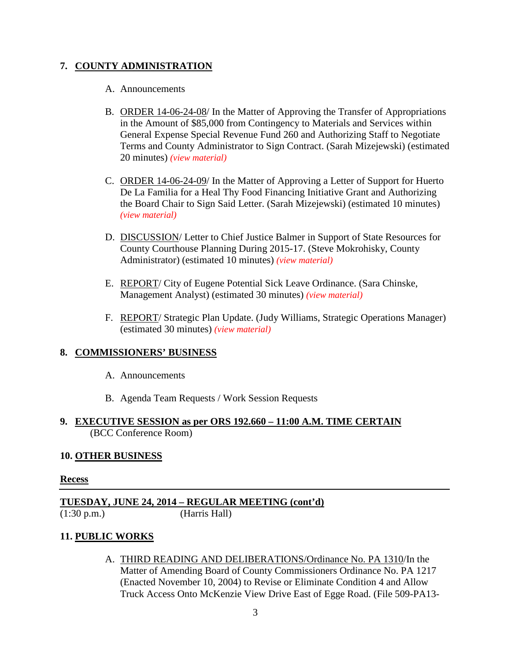# **7. COUNTY ADMINISTRATION**

#### A. Announcements

- B. ORDER 14-06-24-08/ In the Matter of Approving the Transfer of Appropriations in the Amount of \$85,000 from Contingency to Materials and Services within General Expense Special Revenue Fund 260 and Authorizing Staff to Negotiate Terms and County Administrator to Sign Contract. (Sarah Mizejewski) (estimated 20 minutes) *[\(view material\)](http://www.lanecounty.org/UserFiles/Servers/Server_3585797/File/Government/BCC/2014/2014_AGENDAS/062414agenda/T.7.B.pdf)*
- C. ORDER 14-06-24-09/ In the Matter of Approving a Letter of Support for Huerto De La Familia for a Heal Thy Food Financing Initiative Grant and Authorizing the Board Chair to Sign Said Letter. (Sarah Mizejewski) (estimated 10 minutes) *[\(view material\)](http://www.lanecounty.org/UserFiles/Servers/Server_3585797/File/Government/BCC/2014/2014_AGENDAS/062414agenda/T.7.C.pdf)*
- D. DISCUSSION/ Letter to Chief Justice Balmer in Support of State Resources for County Courthouse Planning During 2015-17. (Steve Mokrohisky, County Administrator) (estimated 10 minutes) *[\(view material\)](http://www.lanecounty.org/UserFiles/Servers/Server_3585797/File/Government/BCC/2014/2014_AGENDAS/062414agenda/T.7.D.pdf)*
- E. REPORT/ City of Eugene Potential Sick Leave Ordinance. (Sara Chinske, Management Analyst) (estimated 30 minutes) *[\(view material\)](http://www.lanecounty.org/UserFiles/Servers/Server_3585797/File/Government/BCC/2014/2014_AGENDAS/062414agenda/T.7.E.pdf)*
- F. REPORT/ Strategic Plan Update. (Judy Williams, Strategic Operations Manager) (estimated 30 minutes) *[\(view material\)](http://www.lanecounty.org/UserFiles/Servers/Server_3585797/File/Government/BCC/2014/2014_AGENDAS/062414agenda/T.7.F.pdf)*

# **8. COMMISSIONERS' BUSINESS**

- A. Announcements
- B. Agenda Team Requests / Work Session Requests

# **9. EXECUTIVE SESSION as per ORS 192.660 – 11:00 A.M. TIME CERTAIN** (BCC Conference Room)

### **10. OTHER BUSINESS**

### **Recess**

**TUESDAY, JUNE 24, 2014 – REGULAR MEETING (cont'd)** (1:30 p.m.) (Harris Hall)

# **11. PUBLIC WORKS**

A. THIRD READING AND DELIBERATIONS/Ordinance No. PA 1310/In the Matter of Amending Board of County Commissioners Ordinance No. PA 1217 (Enacted November 10, 2004) to Revise or Eliminate Condition 4 and Allow Truck Access Onto McKenzie View Drive East of Egge Road. (File 509-PA13-